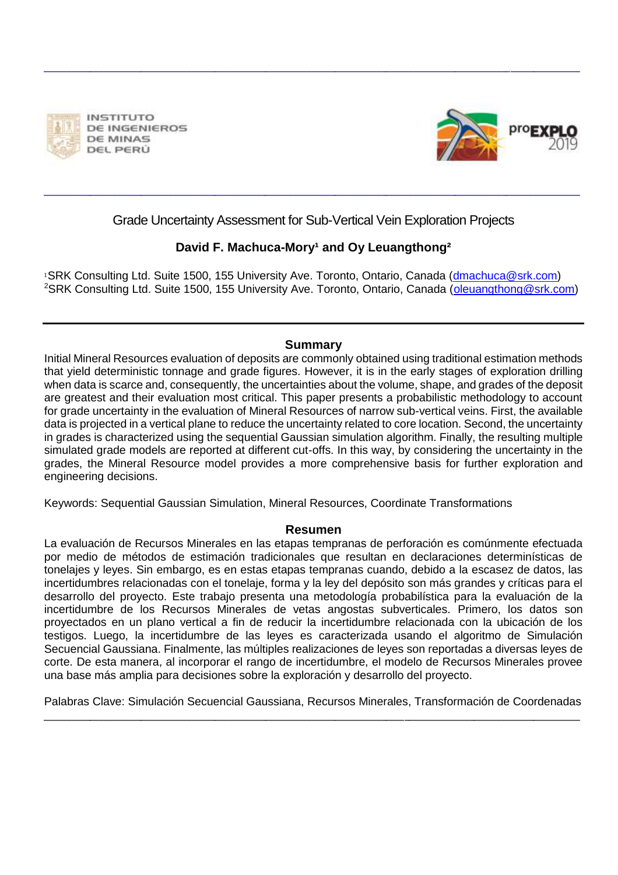

**INSTITUTO DE INGENIEROS** DE MINAS DEL PERÚ



### Grade Uncertainty Assessment for Sub-Vertical Vein Exploration Projects

\_\_\_\_\_\_\_\_\_\_\_\_\_\_\_\_\_\_\_\_\_\_\_\_\_\_\_\_\_\_\_\_\_\_\_\_\_\_\_\_\_\_\_\_\_\_\_\_\_\_\_\_\_\_\_\_\_\_\_\_\_\_\_\_\_\_\_\_\_\_\_\_\_\_\_\_\_\_\_\_\_\_\_\_\_\_\_\_\_\_\_\_\_\_\_\_\_\_\_\_\_\_\_\_\_\_\_\_\_\_\_\_\_\_\_\_

\_\_\_\_\_\_\_\_\_\_\_\_\_\_\_\_\_\_\_\_\_\_\_\_\_\_\_\_\_\_\_\_\_\_\_\_\_\_\_\_\_\_\_\_\_\_\_\_\_\_\_\_\_\_\_\_\_\_\_\_\_\_\_\_\_\_\_\_\_\_\_\_\_\_\_\_\_\_\_\_\_\_\_\_\_\_\_\_\_\_\_\_\_\_\_\_\_\_\_\_\_\_\_\_\_\_\_\_\_\_\_\_\_\_\_\_

### **David F. Machuca-Mory<sup>1</sup> and Oy Leuangthong<sup>2</sup>**

1SRK Consulting Ltd. Suite 1500, 155 University Ave. Toronto, Ontario, Canada (dmachuca@srk.com) <sup>2</sup>SRK Consulting Ltd. Suite 1500, 155 University Ave. Toronto, Ontario, Canada (oleuangthong@srk.com)

#### **Summary**

Initial Mineral Resources evaluation of deposits are commonly obtained using traditional estimation methods that yield deterministic tonnage and grade figures. However, it is in the early stages of exploration drilling when data is scarce and, consequently, the uncertainties about the volume, shape, and grades of the deposit are greatest and their evaluation most critical. This paper presents a probabilistic methodology to account for grade uncertainty in the evaluation of Mineral Resources of narrow sub-vertical veins. First, the available data is projected in a vertical plane to reduce the uncertainty related to core location. Second, the uncertainty in grades is characterized using the sequential Gaussian simulation algorithm. Finally, the resulting multiple simulated grade models are reported at different cut-offs. In this way, by considering the uncertainty in the grades, the Mineral Resource model provides a more comprehensive basis for further exploration and engineering decisions.

Keywords: Sequential Gaussian Simulation, Mineral Resources, Coordinate Transformations

#### **Resumen**

La evaluación de Recursos Minerales en las etapas tempranas de perforación es comúnmente efectuada por medio de métodos de estimación tradicionales que resultan en declaraciones determinísticas de tonelajes y leyes. Sin embargo, es en estas etapas tempranas cuando, debido a la escasez de datos, las incertidumbres relacionadas con el tonelaje, forma y la ley del depósito son más grandes y críticas para el desarrollo del proyecto. Este trabajo presenta una metodología probabilística para la evaluación de la incertidumbre de los Recursos Minerales de vetas angostas subverticales. Primero, los datos son proyectados en un plano vertical a fin de reducir la incertidumbre relacionada con la ubicación de los testigos. Luego, la incertidumbre de las leyes es caracterizada usando el algoritmo de Simulación Secuencial Gaussiana. Finalmente, las múltiples realizaciones de leyes son reportadas a diversas leyes de corte. De esta manera, al incorporar el rango de incertidumbre, el modelo de Recursos Minerales provee una base más amplia para decisiones sobre la exploración y desarrollo del proyecto.

Palabras Clave: Simulación Secuencial Gaussiana, Recursos Minerales, Transformación de Coordenadas \_\_\_\_\_\_\_\_\_\_\_\_\_\_\_\_\_\_\_\_\_\_\_\_\_\_\_\_\_\_\_\_\_\_\_\_\_\_\_\_\_\_\_\_\_\_\_\_\_\_\_\_\_\_\_\_\_\_\_\_\_\_\_\_\_\_\_\_\_\_\_\_\_\_\_\_\_\_\_\_\_\_\_\_\_\_\_\_\_\_\_\_\_\_\_\_\_\_\_\_\_\_\_\_\_\_\_\_\_\_\_\_\_\_\_\_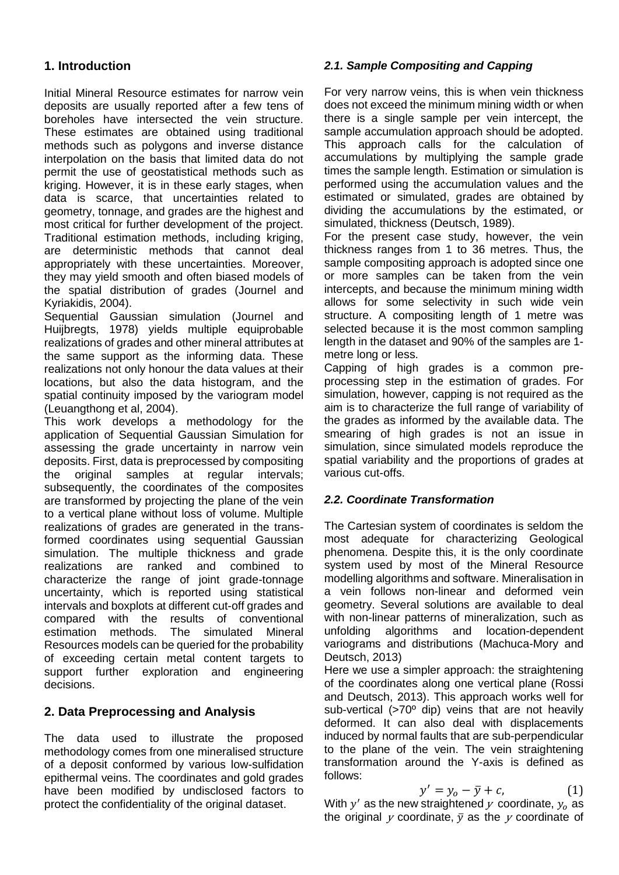### **1. Introduction**

Initial Mineral Resource estimates for narrow vein deposits are usually reported after a few tens of boreholes have intersected the vein structure. These estimates are obtained using traditional methods such as polygons and inverse distance interpolation on the basis that limited data do not permit the use of geostatistical methods such as kriging. However, it is in these early stages, when data is scarce, that uncertainties related to geometry, tonnage, and grades are the highest and most critical for further development of the project. Traditional estimation methods, including kriging, are deterministic methods that cannot deal appropriately with these uncertainties. Moreover, they may yield smooth and often biased models of the spatial distribution of grades (Journel and Kyriakidis, 2004).

Sequential Gaussian simulation (Journel and Huijbregts, 1978) yields multiple equiprobable realizations of grades and other mineral attributes at the same support as the informing data. These realizations not only honour the data values at their locations, but also the data histogram, and the spatial continuity imposed by the variogram model (Leuangthong et al, 2004).

This work develops a methodology for the application of Sequential Gaussian Simulation for assessing the grade uncertainty in narrow vein deposits. First, data is preprocessed by compositing the original samples at regular intervals; subsequently, the coordinates of the composites are transformed by projecting the plane of the vein to a vertical plane without loss of volume. Multiple realizations of grades are generated in the transformed coordinates using sequential Gaussian simulation. The multiple thickness and grade realizations are ranked and combined to characterize the range of joint grade-tonnage uncertainty, which is reported using statistical intervals and boxplots at different cut-off grades and compared with the results of conventional<br>estimation methods. The simulated Mineral estimation methods. The Resources models can be queried for the probability of exceeding certain metal content targets to support further exploration and engineering decisions.

### **2. Data Preprocessing and Analysis**

The data used to illustrate the proposed methodology comes from one mineralised structure of a deposit conformed by various low-sulfidation epithermal veins. The coordinates and gold grades have been modified by undisclosed factors to protect the confidentiality of the original dataset.

### *2.1. Sample Compositing and Capping*

For very narrow veins, this is when vein thickness does not exceed the minimum mining width or when there is a single sample per vein intercept, the sample accumulation approach should be adopted. This approach calls for the calculation of accumulations by multiplying the sample grade times the sample length. Estimation or simulation is performed using the accumulation values and the estimated or simulated, grades are obtained by dividing the accumulations by the estimated, or simulated, thickness (Deutsch, 1989).

For the present case study, however, the vein thickness ranges from 1 to 36 metres. Thus, the sample compositing approach is adopted since one or more samples can be taken from the vein intercepts, and because the minimum mining width allows for some selectivity in such wide vein structure. A compositing length of 1 metre was selected because it is the most common sampling length in the dataset and 90% of the samples are 1 metre long or less.

Capping of high grades is a common preprocessing step in the estimation of grades. For simulation, however, capping is not required as the aim is to characterize the full range of variability of the grades as informed by the available data. The smearing of high grades is not an issue in simulation, since simulated models reproduce the spatial variability and the proportions of grades at various cut-offs.

#### *2.2. Coordinate Transformation*

The Cartesian system of coordinates is seldom the most adequate for characterizing Geological phenomena. Despite this, it is the only coordinate system used by most of the Mineral Resource modelling algorithms and software. Mineralisation in a vein follows non-linear and deformed vein geometry. Several solutions are available to deal with non-linear patterns of mineralization, such as unfolding algorithms and location-dependent variograms and distributions (Machuca-Mory and Deutsch, 2013)

Here we use a simpler approach: the straightening of the coordinates along one vertical plane (Rossi and Deutsch, 2013). This approach works well for sub-vertical (>70° dip) veins that are not heavily deformed. It can also deal with displacements induced by normal faults that are sub-perpendicular to the plane of the vein. The vein straightening transformation around the Y-axis is defined as follows:

$$
y' = y_o - \bar{y} + c,\tag{1}
$$

With  $y'$  as the new straightened  $y$  coordinate,  $y_o$  as the original  $y$  coordinate,  $\bar{y}$  as the  $y$  coordinate of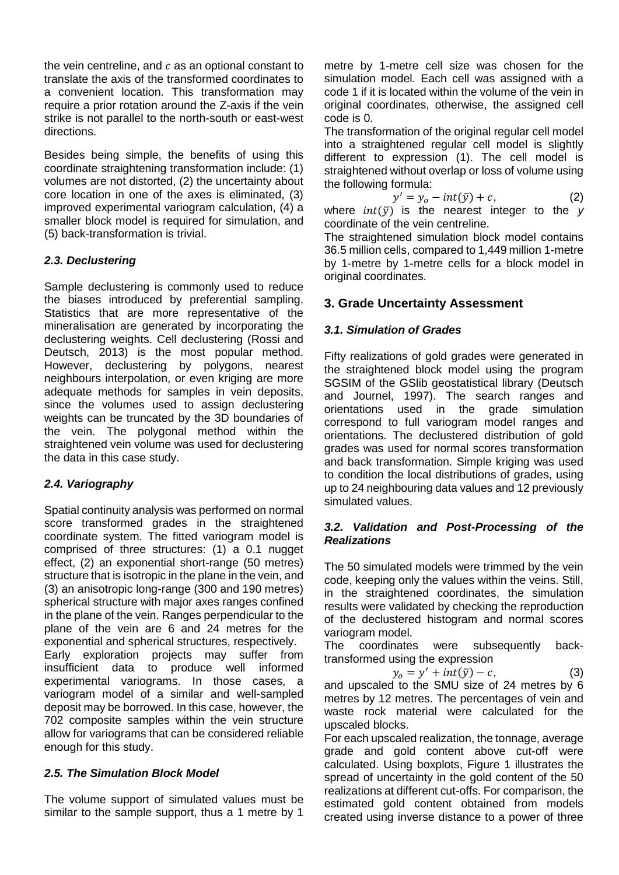the vein centreline, and  $c$  as an optional constant to translate the axis of the transformed coordinates to a convenient location. This transformation may require a prior rotation around the Z-axis if the vein strike is not parallel to the north-south or east-west directions.

Besides being simple, the benefits of using this coordinate straightening transformation include: (1) volumes are not distorted, (2) the uncertainty about core location in one of the axes is eliminated, (3) improved experimental variogram calculation, (4) a smaller block model is required for simulation, and (5) back-transformation is trivial.

#### *2.3. Declustering*

Sample declustering is commonly used to reduce the biases introduced by preferential sampling. Statistics that are more representative of the mineralisation are generated by incorporating the declustering weights. Cell declustering (Rossi and Deutsch, 2013) is the most popular method. However, declustering by polygons, nearest neighbours interpolation, or even kriging are more adequate methods for samples in vein deposits, since the volumes used to assign declustering weights can be truncated by the 3D boundaries of the vein. The polygonal method within the straightened vein volume was used for declustering the data in this case study.

#### *2.4. Variography*

Spatial continuity analysis was performed on normal score transformed grades in the straightened coordinate system. The fitted variogram model is comprised of three structures: (1) a 0.1 nugget effect, (2) an exponential short-range (50 metres) structure that is isotropic in the plane in the vein, and (3) an anisotropic long-range (300 and 190 metres) spherical structure with major axes ranges confined in the plane of the vein. Ranges perpendicular to the plane of the vein are 6 and 24 metres for the exponential and spherical structures, respectively. Early exploration projects may suffer from insufficient data to produce well informed experimental variograms. In those cases, a variogram model of a similar and well-sampled deposit may be borrowed. In this case, however, the 702 composite samples within the vein structure allow for variograms that can be considered reliable enough for this study.

### *2.5. The Simulation Block Model*

The volume support of simulated values must be similar to the sample support, thus a 1 metre by 1

metre by 1-metre cell size was chosen for the simulation model. Each cell was assigned with a code 1 if it is located within the volume of the vein in original coordinates, otherwise, the assigned cell code is 0.

The transformation of the original regular cell model into a straightened regular cell model is slightly different to expression (1). The cell model is straightened without overlap or loss of volume using the following formula:

$$
y' = y_o - int(\bar{y}) + c,\t\t(2)
$$

where  $int(\bar{y})$  is the nearest integer to the *y* coordinate of the vein centreline.

The straightened simulation block model contains 36.5 million cells, compared to 1,449 million 1-metre by 1-metre by 1-metre cells for a block model in original coordinates.

# **3. Grade Uncertainty Assessment**

## *3.1. Simulation of Grades*

Fifty realizations of gold grades were generated in the straightened block model using the program SGSIM of the GSlib geostatistical library (Deutsch and Journel, 1997). The search ranges and orientations used in the grade simulation correspond to full variogram model ranges and orientations. The declustered distribution of gold grades was used for normal scores transformation and back transformation. Simple kriging was used to condition the local distributions of grades, using up to 24 neighbouring data values and 12 previously simulated values.

#### *3.2. Validation and Post-Processing of the Realizations*

The 50 simulated models were trimmed by the vein code, keeping only the values within the veins. Still, in the straightened coordinates, the simulation results were validated by checking the reproduction of the declustered histogram and normal scores variogram model.

The coordinates were subsequently backtransformed using the expression

 $y_o = y' + int(\bar{y}) - c,$  (3)

and upscaled to the SMU size of 24 metres by 6 metres by 12 metres. The percentages of vein and waste rock material were calculated for the upscaled blocks.

For each upscaled realization, the tonnage, average grade and gold content above cut-off were calculated. Using boxplots, Figure 1 illustrates the spread of uncertainty in the gold content of the 50 realizations at different cut-offs. For comparison, the estimated gold content obtained from models created using inverse distance to a power of three